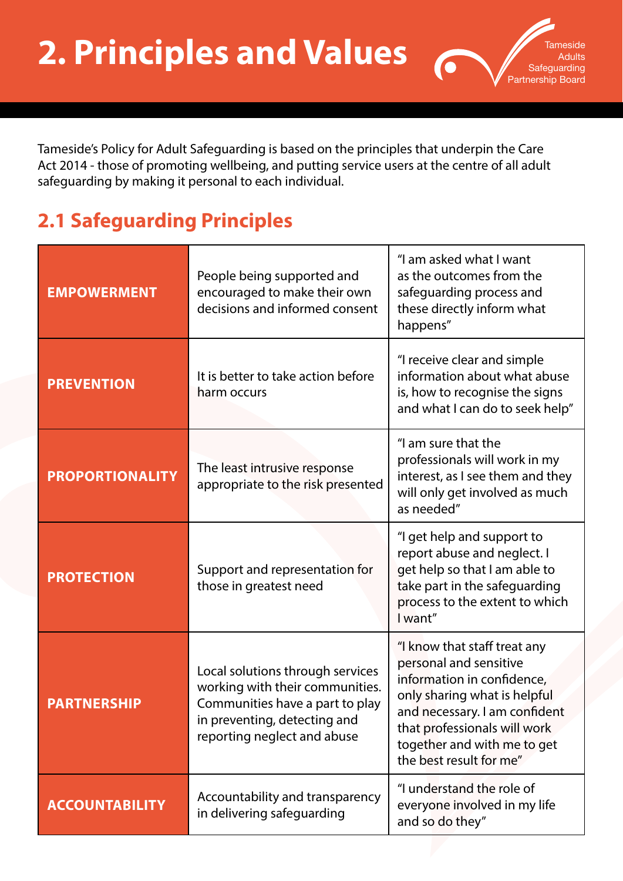Tameside's Policy for Adult Safeguarding is based on the principles that underpin the Care Act 2014 - those of promoting wellbeing, and putting service users at the centre of all adult safeguarding by making it personal to each individual.

ıeside **Adults Safeguarding** Partnership Board

## **2.1 Safeguarding Principles**

| <b>EMPOWERMENT</b>     | People being supported and<br>encouraged to make their own<br>decisions and informed consent                                                                          | "I am asked what I want<br>as the outcomes from the<br>safeguarding process and<br>these directly inform what<br>happens"                                                                                                                       |
|------------------------|-----------------------------------------------------------------------------------------------------------------------------------------------------------------------|-------------------------------------------------------------------------------------------------------------------------------------------------------------------------------------------------------------------------------------------------|
| <b>PREVENTION</b>      | It is better to take action before<br>harm occurs                                                                                                                     | "I receive clear and simple<br>information about what abuse<br>is, how to recognise the signs<br>and what I can do to seek help"                                                                                                                |
| <b>PROPORTIONALITY</b> | The least intrusive response<br>appropriate to the risk presented                                                                                                     | "I am sure that the<br>professionals will work in my<br>interest, as I see them and they<br>will only get involved as much<br>as needed"                                                                                                        |
| <b>PROTECTION</b>      | Support and representation for<br>those in greatest need                                                                                                              | "I get help and support to<br>report abuse and neglect. I<br>get help so that I am able to<br>take part in the safeguarding<br>process to the extent to which<br>I want"                                                                        |
| <b>PARTNERSHIP</b>     | Local solutions through services<br>working with their communities.<br>Communities have a part to play<br>in preventing, detecting and<br>reporting neglect and abuse | "I know that staff treat any<br>personal and sensitive<br>information in confidence,<br>only sharing what is helpful<br>and necessary. I am confident<br>that professionals will work<br>together and with me to get<br>the best result for me" |
| <b>ACCOUNTABILITY</b>  | Accountability and transparency<br>in delivering safeguarding                                                                                                         | "I understand the role of<br>everyone involved in my life<br>and so do they"                                                                                                                                                                    |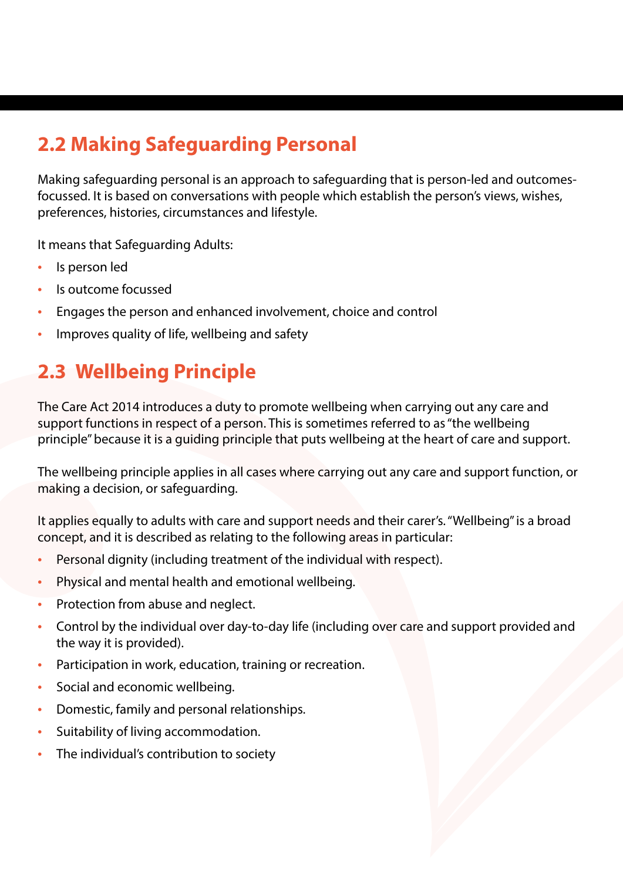## **2.2 Making Safeguarding Personal**

Making safeguarding personal is an approach to safeguarding that is person-led and outcomesfocussed. It is based on conversations with people which establish the person's views, wishes, preferences, histories, circumstances and lifestyle.

It means that Safeguarding Adults:

- Is person led
- Is outcome focussed
- Engages the person and enhanced involvement, choice and control
- Improves quality of life, wellbeing and safety

## **2.3 Wellbeing Principle**

The Care Act 2014 introduces a duty to promote wellbeing when carrying out any care and support functions in respect of a person. This is sometimes referred to as "the wellbeing principle" because it is a guiding principle that puts wellbeing at the heart of care and support.

The wellbeing principle applies in all cases where carrying out any care and support function, or making a decision, or safeguarding.

It applies equally to adults with care and support needs and their carer's. "Wellbeing" is a broad concept, and it is described as relating to the following areas in particular:

- Personal dignity (including treatment of the individual with respect).
- Physical and mental health and emotional wellbeing.
- Protection from abuse and neglect.
- Control by the individual over day-to-day life (including over care and support provided and the way it is provided).
- Participation in work, education, training or recreation.
- Social and economic wellbeing.
- Domestic, family and personal relationships.
- Suitability of living accommodation.
- The individual's contribution to society